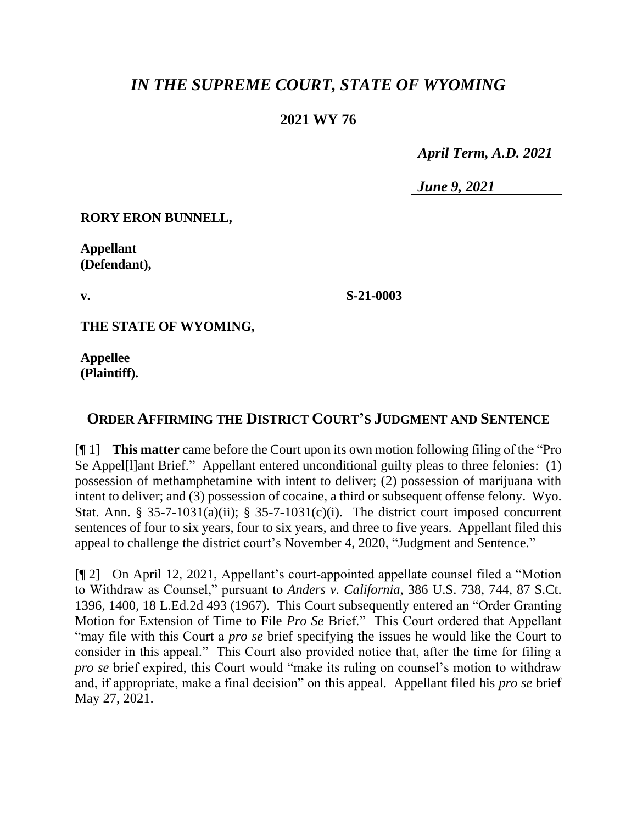## *IN THE SUPREME COURT, STATE OF WYOMING*

## **2021 WY 76**

 *April Term, A.D. 2021*

*June 9, 2021*

**RORY ERON BUNNELL,**

**Appellant (Defendant),**

**v.**

**S-21-0003**

**THE STATE OF WYOMING,**

**Appellee (Plaintiff).**

## **ORDER AFFIRMING THE DISTRICT COURT'S JUDGMENT AND SENTENCE**

[¶ 1] **This matter** came before the Court upon its own motion following filing of the "Pro Se Appel[l]ant Brief." Appellant entered unconditional guilty pleas to three felonies: (1) possession of methamphetamine with intent to deliver; (2) possession of marijuana with intent to deliver; and (3) possession of cocaine, a third or subsequent offense felony. Wyo. Stat. Ann. § 35-7-1031(a)(ii); § 35-7-1031(c)(i). The district court imposed concurrent sentences of four to six years, four to six years, and three to five years. Appellant filed this appeal to challenge the district court's November 4, 2020, "Judgment and Sentence."

[¶ 2] On April 12, 2021, Appellant's court-appointed appellate counsel filed a "Motion to Withdraw as Counsel," pursuant to *Anders v. California*, 386 U.S. 738, 744, 87 S.Ct. 1396, 1400, 18 L.Ed.2d 493 (1967). This Court subsequently entered an "Order Granting Motion for Extension of Time to File *Pro Se* Brief." This Court ordered that Appellant "may file with this Court a *pro se* brief specifying the issues he would like the Court to consider in this appeal." This Court also provided notice that, after the time for filing a *pro se* brief expired, this Court would "make its ruling on counsel's motion to withdraw and, if appropriate, make a final decision" on this appeal. Appellant filed his *pro se* brief May 27, 2021.